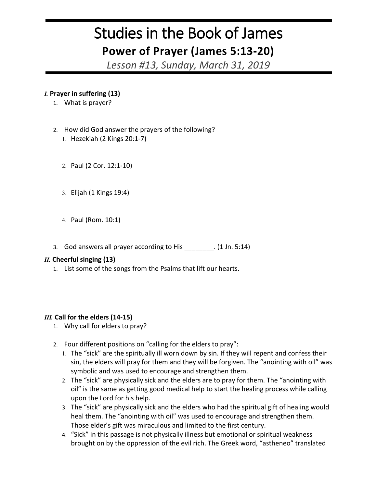# Studies in the Book of James **Power of Prayer (James 5:13-20)**

*Lesson #13, Sunday, March 31, 2019*

## *I.* **Prayer in suffering (13)**

- 1. What is prayer?
- 2. How did God answer the prayers of the following? 1. Hezekiah (2 Kings 20:1-7)
	- 2. Paul (2 Cor. 12:1-10)
	- 3. Elijah (1 Kings 19:4)
	- 4. Paul (Rom. 10:1)
- 3. God answers all prayer according to His \_\_\_\_\_\_\_\_. (1 Jn. 5:14)

#### *II.* **Cheerful singing (13)**

1. List some of the songs from the Psalms that lift our hearts.

#### *III.* **Call for the elders (14-15)**

- 1. Why call for elders to pray?
- 2. Four different positions on "calling for the elders to pray":
	- 1. The "sick" are the spiritually ill worn down by sin. If they will repent and confess their sin, the elders will pray for them and they will be forgiven. The "anointing with oil" was symbolic and was used to encourage and strengthen them.
	- 2. The "sick" are physically sick and the elders are to pray for them. The "anointing with oil" is the same as getting good medical help to start the healing process while calling upon the Lord for his help.
	- 3. The "sick" are physically sick and the elders who had the spiritual gift of healing would heal them. The "anointing with oil" was used to encourage and strengthen them. Those elder's gift was miraculous and limited to the first century.
	- 4. "Sick" in this passage is not physically illness but emotional or spiritual weakness brought on by the oppression of the evil rich. The Greek word, "astheneo" translated